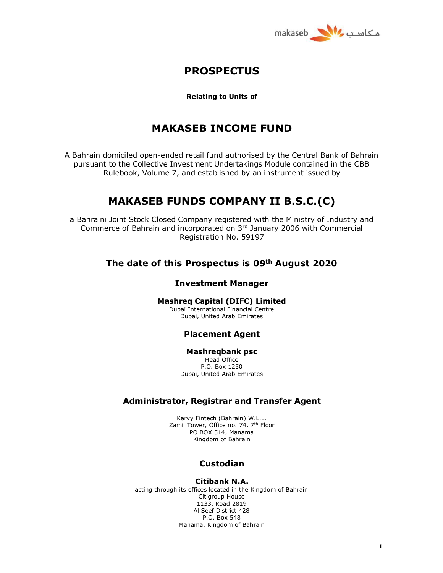

# **PROSPECTUS**

#### **Relating to Units of**

# **MAKASEB INCOME FUND**

A Bahrain domiciled open-ended retail fund authorised by the Central Bank of Bahrain pursuant to the Collective Investment Undertakings Module contained in the CBB Rulebook, Volume 7, and established by an instrument issued by

# **MAKASEB FUNDS COMPANY II B.S.C.(C)**

a Bahraini Joint Stock Closed Company registered with the Ministry of Industry and Commerce of Bahrain and incorporated on  $3<sup>rd</sup>$  January 2006 with Commercial Registration No. 59197

## **The date of this Prospectus is 09th August 2020**

#### **Investment Manager**

#### **Mashreq Capital (DIFC) Limited**

Dubai International Financial Centre Dubai, United Arab Emirates

## **Placement Agent**

#### **Mashreqbank psc**

Head Office P.O. Box 1250 Dubai, United Arab Emirates

## **Administrator, Registrar and Transfer Agent**

Karvy Fintech (Bahrain) W.L.L. Zamil Tower, Office no. 74, 7<sup>th</sup> Floor PO BOX 514, Manama Kingdom of Bahrain

## **Custodian**

#### **Citibank N.A.**

acting through its offices located in the Kingdom of Bahrain Citigroup House 1133, Road 2819 Al Seef District 428 P.O. Box 548 Manama, Kingdom of Bahrain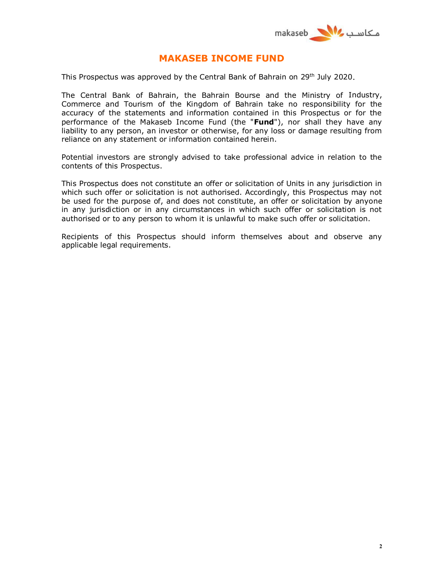

## **MAKASEB INCOME FUND**

This Prospectus was approved by the Central Bank of Bahrain on 29th July 2020.

The Central Bank of Bahrain, the Bahrain Bourse and the Ministry of Industry, Commerce and Tourism of the Kingdom of Bahrain take no responsibility for the accuracy of the statements and information contained in this Prospectus or for the performance of the Makaseb Income Fund (the "**Fund**"), nor shall they have any liability to any person, an investor or otherwise, for any loss or damage resulting from reliance on any statement or information contained herein.

Potential investors are strongly advised to take professional advice in relation to the contents of this Prospectus.

This Prospectus does not constitute an offer or solicitation of Units in any jurisdiction in which such offer or solicitation is not authorised. Accordingly, this Prospectus may not be used for the purpose of, and does not constitute, an offer or solicitation by anyone in any jurisdiction or in any circumstances in which such offer or solicitation is not authorised or to any person to whom it is unlawful to make such offer or solicitation.

Recipients of this Prospectus should inform themselves about and observe any applicable legal requirements.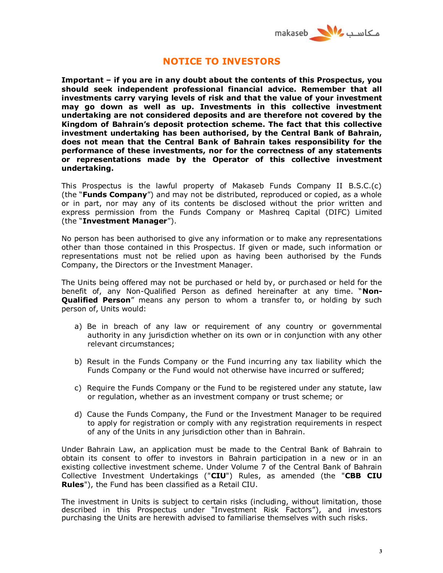

## **NOTICE TO INVESTORS**

**Important – if you are in any doubt about the contents of this Prospectus, you should seek independent professional financial advice. Remember that all investments carry varying levels of risk and that the value of your investment may go down as well as up. Investments in this collective investment undertaking are not considered deposits and are therefore not covered by the Kingdom of Bahrain's deposit protection scheme. The fact that this collective investment undertaking has been authorised, by the Central Bank of Bahrain, does not mean that the Central Bank of Bahrain takes responsibility for the performance of these investments, nor for the correctness of any statements or representations made by the Operator of this collective investment undertaking.**

This Prospectus is the lawful property of Makaseb Funds Company II B.S.C.(c) (the "**Funds Company**") and may not be distributed, reproduced or copied, as a whole or in part, nor may any of its contents be disclosed without the prior written and express permission from the Funds Company or Mashreq Capital (DIFC) Limited (the "**Investment Manager**").

No person has been authorised to give any information or to make any representations other than those contained in this Prospectus. If given or made, such information or representations must not be relied upon as having been authorised by the Funds Company, the Directors or the Investment Manager.

The Units being offered may not be purchased or held by, or purchased or held for the benefit of, any Non-Qualified Person as defined hereinafter at any time. "**Non-Qualified Person**" means any person to whom a transfer to, or holding by such person of, Units would:

- a) Be in breach of any law or requirement of any country or governmental authority in any jurisdiction whether on its own or in conjunction with any other relevant circumstances;
- b) Result in the Funds Company or the Fund incurring any tax liability which the Funds Company or the Fund would not otherwise have incurred or suffered;
- c) Require the Funds Company or the Fund to be registered under any statute, law or regulation, whether as an investment company or trust scheme; or
- d) Cause the Funds Company, the Fund or the Investment Manager to be required to apply for registration or comply with any registration requirements in respect of any of the Units in any jurisdiction other than in Bahrain.

Under Bahrain Law, an application must be made to the Central Bank of Bahrain to obtain its consent to offer to investors in Bahrain participation in a new or in an existing collective investment scheme. Under Volume 7 of the Central Bank of Bahrain Collective Investment Undertakings ("**CIU**") Rules, as amended (the "**CBB CIU Rules**"), the Fund has been classified as a Retail CIU.

The investment in Units is subject to certain risks (including, without limitation, those described in this Prospectus under "Investment Risk Factors"), and investors purchasing the Units are herewith advised to familiarise themselves with such risks.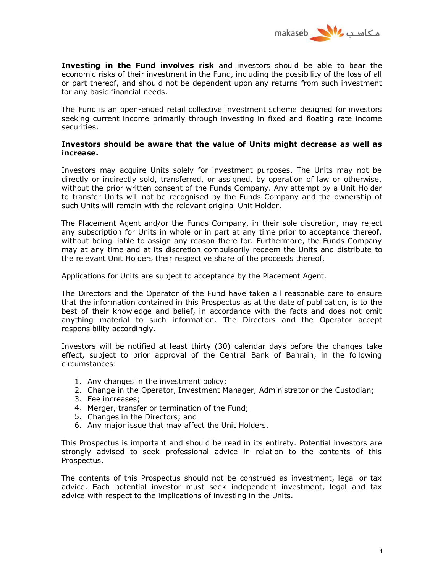

**Investing in the Fund involves risk** and investors should be able to bear the economic risks of their investment in the Fund, including the possibility of the loss of all or part thereof, and should not be dependent upon any returns from such investment for any basic financial needs.

The Fund is an open-ended retail collective investment scheme designed for investors seeking current income primarily through investing in fixed and floating rate income securities.

### **Investors should be aware that the value of Units might decrease as well as increase.**

Investors may acquire Units solely for investment purposes. The Units may not be directly or indirectly sold, transferred, or assigned, by operation of law or otherwise, without the prior written consent of the Funds Company. Any attempt by a Unit Holder to transfer Units will not be recognised by the Funds Company and the ownership of such Units will remain with the relevant original Unit Holder.

The Placement Agent and/or the Funds Company, in their sole discretion, may reject any subscription for Units in whole or in part at any time prior to acceptance thereof, without being liable to assign any reason there for. Furthermore, the Funds Company may at any time and at its discretion compulsorily redeem the Units and distribute to the relevant Unit Holders their respective share of the proceeds thereof.

Applications for Units are subject to acceptance by the Placement Agent.

The Directors and the Operator of the Fund have taken all reasonable care to ensure that the information contained in this Prospectus as at the date of publication, is to the best of their knowledge and belief, in accordance with the facts and does not omit anything material to such information. The Directors and the Operator accept responsibility accordingly.

Investors will be notified at least thirty (30) calendar days before the changes take effect, subject to prior approval of the Central Bank of Bahrain, in the following circumstances:

- 1. Any changes in the investment policy;
- 2. Change in the Operator, Investment Manager, Administrator or the Custodian;
- 3. Fee increases;
- 4. Merger, transfer or termination of the Fund;
- 5. Changes in the Directors; and
- 6. Any major issue that may affect the Unit Holders.

This Prospectus is important and should be read in its entirety. Potential investors are strongly advised to seek professional advice in relation to the contents of this Prospectus.

The contents of this Prospectus should not be construed as investment, legal or tax advice. Each potential investor must seek independent investment, legal and tax advice with respect to the implications of investing in the Units.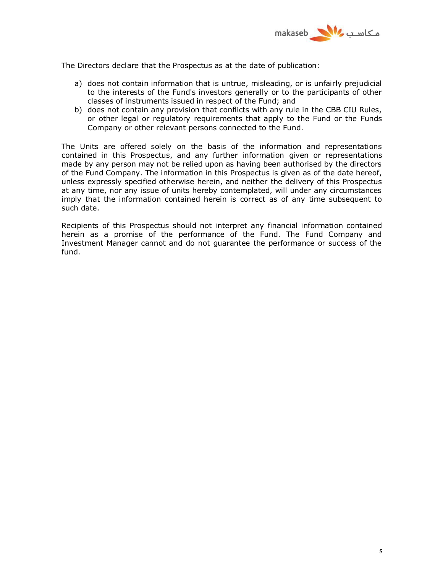

The Directors declare that the Prospectus as at the date of publication:

- a) does not contain information that is untrue, misleading, or is unfairly prejudicial to the interests of the Fund's investors generally or to the participants of other classes of instruments issued in respect of the Fund; and
- b) does not contain any provision that conflicts with any rule in the CBB CIU Rules, or other legal or regulatory requirements that apply to the Fund or the Funds Company or other relevant persons connected to the Fund.

The Units are offered solely on the basis of the information and representations contained in this Prospectus, and any further information given or representations made by any person may not be relied upon as having been authorised by the directors of the Fund Company. The information in this Prospectus is given as of the date hereof, unless expressly specified otherwise herein, and neither the delivery of this Prospectus at any time, nor any issue of units hereby contemplated, will under any circumstances imply that the information contained herein is correct as of any time subsequent to such date.

Recipients of this Prospectus should not interpret any financial information contained herein as a promise of the performance of the Fund. The Fund Company and Investment Manager cannot and do not guarantee the performance or success of the fund.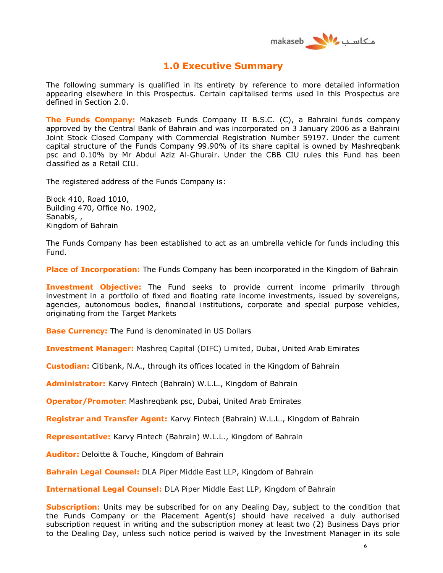

# **1.0 Executive Summary**

The following summary is qualified in its entirety by reference to more detailed information appearing elsewhere in this Prospectus. Certain capitalised terms used in this Prospectus are defined in Section 2.0.

**The Funds Company:** Makaseb Funds Company II B.S.C. (C), a Bahraini funds company approved by the Central Bank of Bahrain and was incorporated on 3 January 2006 as a Bahraini Joint Stock Closed Company with Commercial Registration Number 59197. Under the current capital structure of the Funds Company 99.90% of its share capital is owned by Mashreqbank psc and 0.10% by Mr Abdul Aziz Al-Ghurair. Under the CBB CIU rules this Fund has been classified as a Retail CIU.

The registered address of the Funds Company is:

Block 410, Road 1010, Building 470, Office No. 1902, Sanabis, , Kingdom of Bahrain

The Funds Company has been established to act as an umbrella vehicle for funds including this Fund.

**Place of Incorporation:** The Funds Company has been incorporated in the Kingdom of Bahrain

**Investment Objective:** The Fund seeks to provide current income primarily through investment in a portfolio of fixed and floating rate income investments, issued by sovereigns, agencies, autonomous bodies, financial institutions, corporate and special purpose vehicles, originating from the Target Markets

**Base Currency:** The Fund is denominated in US Dollars

**Investment Manager:** Mashreq Capital (DIFC) Limited, Dubai, United Arab Emirates

**Custodian:** Citibank, N.A., through its offices located in the Kingdom of Bahrain

**Administrator:** Karvy Fintech (Bahrain) W.L.L., Kingdom of Bahrain

**Operator/Promoter**: Mashreqbank psc, Dubai, United Arab Emirates

**Registrar and Transfer Agent:** Karvy Fintech (Bahrain) W.L.L., Kingdom of Bahrain

**Representative:** Karvy Fintech (Bahrain) W.L.L., Kingdom of Bahrain

**Auditor:** Deloitte & Touche, Kingdom of Bahrain

**Bahrain Legal Counsel:** DLA Piper Middle East LLP, Kingdom of Bahrain

**International Legal Counsel:** DLA Piper Middle East LLP, Kingdom of Bahrain

**Subscription:** Units may be subscribed for on any Dealing Day, subject to the condition that the Funds Company or the Placement Agent(s) should have received a duly authorised subscription request in writing and the subscription money at least two (2) Business Days prior to the Dealing Day, unless such notice period is waived by the Investment Manager in its sole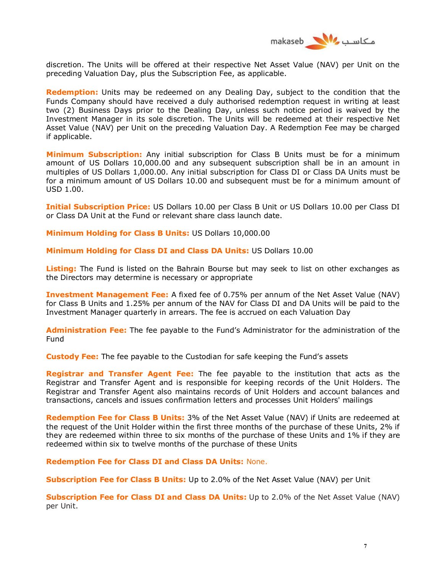

discretion. The Units will be offered at their respective Net Asset Value (NAV) per Unit on the preceding Valuation Day, plus the Subscription Fee, as applicable.

**Redemption:** Units may be redeemed on any Dealing Day, subject to the condition that the Funds Company should have received a duly authorised redemption request in writing at least two (2) Business Days prior to the Dealing Day, unless such notice period is waived by the Investment Manager in its sole discretion. The Units will be redeemed at their respective Net Asset Value (NAV) per Unit on the preceding Valuation Day. A Redemption Fee may be charged if applicable.

**Minimum Subscription:** Any initial subscription for Class B Units must be for a minimum amount of US Dollars 10,000.00 and any subsequent subscription shall be in an amount in multiples of US Dollars 1,000.00. Any initial subscription for Class DI or Class DA Units must be for a minimum amount of US Dollars 10.00 and subsequent must be for a minimum amount of USD 1.00.

**Initial Subscription Price:** US Dollars 10.00 per Class B Unit or US Dollars 10.00 per Class DI or Class DA Unit at the Fund or relevant share class launch date.

**Minimum Holding for Class B Units:** US Dollars 10,000.00

**Minimum Holding for Class DI and Class DA Units:** US Dollars 10.00

**Listing:** The Fund is listed on the Bahrain Bourse but may seek to list on other exchanges as the Directors may determine is necessary or appropriate

**Investment Management Fee:** A fixed fee of 0.75% per annum of the Net Asset Value (NAV) for Class B Units and 1.25% per annum of the NAV for Class DI and DA Units will be paid to the Investment Manager quarterly in arrears. The fee is accrued on each Valuation Day

**Administration Fee:** The fee payable to the Fund's Administrator for the administration of the Fund

**Custody Fee:** The fee payable to the Custodian for safe keeping the Fund's assets

**Registrar and Transfer Agent Fee:** The fee payable to the institution that acts as the Registrar and Transfer Agent and is responsible for keeping records of the Unit Holders. The Registrar and Transfer Agent also maintains records of Unit Holders and account balances and transactions, cancels and issues confirmation letters and processes Unit Holders' mailings

**Redemption Fee for Class B Units:** 3% of the Net Asset Value (NAV) if Units are redeemed at the request of the Unit Holder within the first three months of the purchase of these Units, 2% if they are redeemed within three to six months of the purchase of these Units and 1% if they are redeemed within six to twelve months of the purchase of these Units

**Redemption Fee for Class DI and Class DA Units:** None.

**Subscription Fee for Class B Units:** Up to 2.0% of the Net Asset Value (NAV) per Unit

**Subscription Fee for Class DI and Class DA Units:** Up to 2.0% of the Net Asset Value (NAV) per Unit.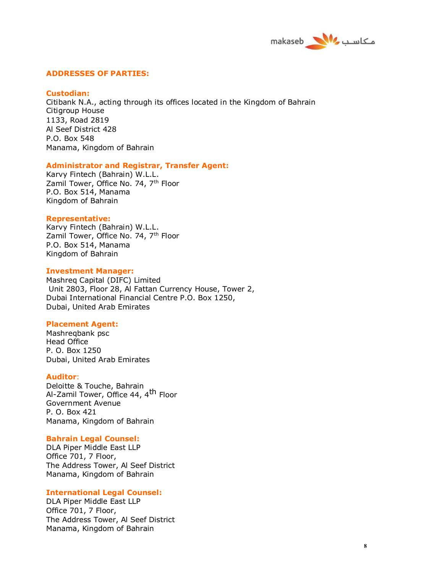

#### **ADDRESSES OF PARTIES:**

#### **Custodian:**

Citibank N.A., acting through its offices located in the Kingdom of Bahrain Citigroup House 1133, Road 2819 Al Seef District 428 P.O. Box 548 Manama, Kingdom of Bahrain

#### **Administrator and Registrar, Transfer Agent:**

Karvy Fintech (Bahrain) W.L.L. Zamil Tower, Office No. 74, 7<sup>th</sup> Floor P.O. Box 514, Manama Kingdom of Bahrain

#### **Representative:**

Karvy Fintech (Bahrain) W.L.L. Zamil Tower, Office No. 74, 7<sup>th</sup> Floor P.O. Box 514, Manama Kingdom of Bahrain

#### **Investment Manager:**

Mashreq Capital (DIFC) Limited Unit 2803, Floor 28, Al Fattan Currency House, Tower 2, Dubai International Financial Centre P.O. Box 1250, Dubai, United Arab Emirates

#### **Placement Agent:**

Mashreqbank psc Head Office P. O. Box 1250 Dubai, United Arab Emirates

#### **Auditor**:

Deloitte & Touche, Bahrain Al-Zamil Tower, Office 44, 4th Floor Government Avenue P. O. Box 421 Manama, Kingdom of Bahrain

#### **Bahrain Legal Counsel:**

DLA Piper Middle East LLP Office 701, 7 Floor, The Address Tower, Al Seef District Manama, Kingdom of Bahrain

#### **International Legal Counsel:**

DLA Piper Middle East LLP Office 701, 7 Floor, The Address Tower, Al Seef District Manama, Kingdom of Bahrain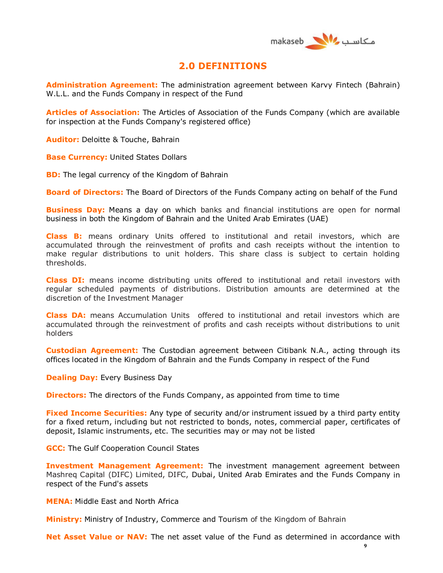

## **2.0 DEFINITIONS**

**Administration Agreement:** The administration agreement between Karvy Fintech (Bahrain) W.L.L. and the Funds Company in respect of the Fund

**Articles of Association:** The Articles of Association of the Funds Company (which are available for inspection at the Funds Company's registered office)

**Auditor:** Deloitte & Touche, Bahrain

**Base Currency: United States Dollars** 

**BD:** The legal currency of the Kingdom of Bahrain

**Board of Directors:** The Board of Directors of the Funds Company acting on behalf of the Fund

**Business Day:** Means a day on which banks and financial institutions are open for normal business in both the Kingdom of Bahrain and the United Arab Emirates (UAE)

**Class B:** means ordinary Units offered to institutional and retail investors, which are accumulated through the reinvestment of profits and cash receipts without the intention to make regular distributions to unit holders. This share class is subject to certain holding thresholds.

**Class DI:** means income distributing units offered to institutional and retail investors with regular scheduled payments of distributions. Distribution amounts are determined at the discretion of the Investment Manager

**Class DA:** means Accumulation Units offered to institutional and retail investors which are accumulated through the reinvestment of profits and cash receipts without distributions to unit holders

**Custodian Agreement:** The Custodian agreement between Citibank N.A., acting through its offices located in the Kingdom of Bahrain and the Funds Company in respect of the Fund

**Dealing Day:** Every Business Day

**Directors:** The directors of the Funds Company, as appointed from time to time

**Fixed Income Securities:** Any type of security and/or instrument issued by a third party entity for a fixed return, including but not restricted to bonds, notes, commercial paper, certificates of deposit, Islamic instruments, etc. The securities may or may not be listed

**GCC:** The Gulf Cooperation Council States

**Investment Management Agreement:** The investment management agreement between Mashreq Capital (DIFC) Limited, DIFC, Dubai, United Arab Emirates and the Funds Company in respect of the Fund's assets

**MENA:** Middle East and North Africa

**Ministry:** Ministry of Industry, Commerce and Tourism of the Kingdom of Bahrain

**Net Asset Value or NAV:** The net asset value of the Fund as determined in accordance with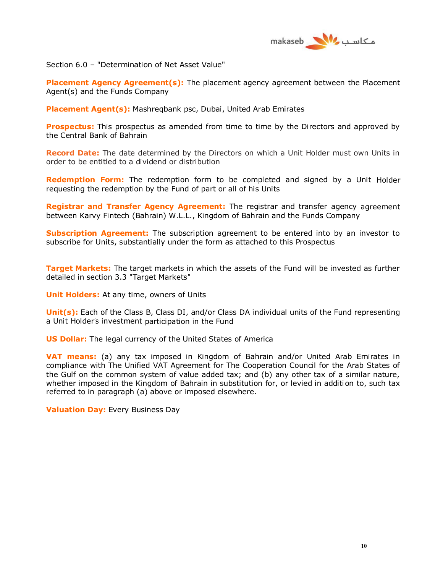

Section 6.0 – "Determination of Net Asset Value"

**Placement Agency Agreement(s):** The placement agency agreement between the Placement Agent(s) and the Funds Company

**Placement Agent(s):** Mashreqbank psc, Dubai, United Arab Emirates

**Prospectus:** This prospectus as amended from time to time by the Directors and approved by the Central Bank of Bahrain

**Record Date:** The date determined by the Directors on which a Unit Holder must own Units in order to be entitled to a dividend or distribution

**Redemption Form:** The redemption form to be completed and signed by a Unit Holder requesting the redemption by the Fund of part or all of his Units

**Registrar and Transfer Agency Agreement:** The registrar and transfer agency agreement between Karvy Fintech (Bahrain) W.L.L., Kingdom of Bahrain and the Funds Company

**Subscription Agreement:** The subscription agreement to be entered into by an investor to subscribe for Units, substantially under the form as attached to this Prospectus

**Target Markets:** The target markets in which the assets of the Fund will be invested as further detailed in section 3.3 "Target Markets"

**Unit Holders:** At any time, owners of Units

**Unit(s):** Each of the Class B, Class DI, and/or Class DA individual units of the Fund representing a Unit Holder's investment participation in the Fund

**US Dollar:** The legal currency of the United States of America

**VAT means:** (a) any tax imposed in Kingdom of Bahrain and/or United Arab Emirates in compliance with The Unified VAT Agreement for The Cooperation Council for the Arab States of the Gulf on the common system of value added tax; and (b) any other tax of a similar nature, whether imposed in the Kingdom of Bahrain in substitution for, or levied in addition to, such tax referred to in paragraph (a) above or imposed elsewhere.

**Valuation Day:** Every Business Day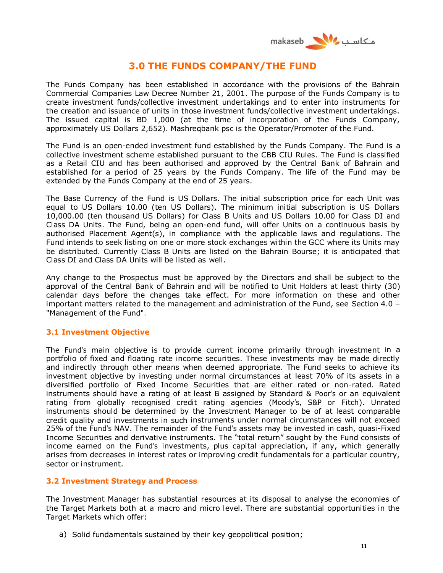

# **3.0 THE FUNDS COMPANY/THE FUND**

The Funds Company has been established in accordance with the provisions of the Bahrain Commercial Companies Law Decree Number 21, 2001. The purpose of the Funds Company is to create investment funds/collective investment undertakings and to enter into instruments for the creation and issuance of units in those investment funds/collective investment undertakings. The issued capital is BD 1,000 (at the time of incorporation of the Funds Company, approximately US Dollars 2,652). Mashreqbank psc is the Operator/Promoter of the Fund.

The Fund is an open-ended investment fund established by the Funds Company. The Fund is a collective investment scheme established pursuant to the CBB CIU Rules. The Fund is classified as a Retail CIU and has been authorised and approved by the Central Bank of Bahrain and established for a period of 25 years by the Funds Company. The life of the Fund may be extended by the Funds Company at the end of 25 years.

The Base Currency of the Fund is US Dollars. The initial subscription price for each Unit was equal to US Dollars 10.00 (ten US Dollars). The minimum initial subscription is US Dollars 10,000.00 (ten thousand US Dollars) for Class B Units and US Dollars 10.00 for Class DI and Class DA Units. The Fund, being an open-end fund, will offer Units on a continuous basis by authorised Placement Agent(s), in compliance with the applicable laws and regulations. The Fund intends to seek listing on one or more stock exchanges within the GCC where its Units may be distributed. Currently Class B Units are listed on the Bahrain Bourse; it is anticipated that Class DI and Class DA Units will be listed as well.

Any change to the Prospectus must be approved by the Directors and shall be subject to the approval of the Central Bank of Bahrain and will be notified to Unit Holders at least thirty (30) calendar days before the changes take effect. For more information on these and other important matters related to the management and administration of the Fund, see Section 4.0 – "Management of the Fund".

## **3.1 Investment Objective**

The Fund's main objective is to provide current income primarily through investment in a portfolio of fixed and floating rate income securities. These investments may be made directly and indirectly through other means when deemed appropriate. The Fund seeks to achieve its investment objective by investing under normal circumstances at least 70% of its assets in a diversified portfolio of Fixed Income Securities that are either rated or non-rated. Rated instruments should have a rating of at least B assigned by Standard & Poor's or an equivalent rating from globally recognised credit rating agencies (Moody's, S&P or Fitch). Unrated instruments should be determined by the Investment Manager to be of at least comparable credit quality and investments in such instruments under normal circumstances will not exceed 25% of the Fund's NAV. The remainder of the Fund's assets may be invested in cash, quasi-Fixed Income Securities and derivative instruments. The "total return" sought by the Fund consists of income earned on the Fund's investments, plus capital appreciation, if any, which generally arises from decreases in interest rates or improving credit fundamentals for a particular country, sector or instrument.

### **3.2 Investment Strategy and Process**

The Investment Manager has substantial resources at its disposal to analyse the economies of the Target Markets both at a macro and micro level. There are substantial opportunities in the Target Markets which offer:

a) Solid fundamentals sustained by their key geopolitical position;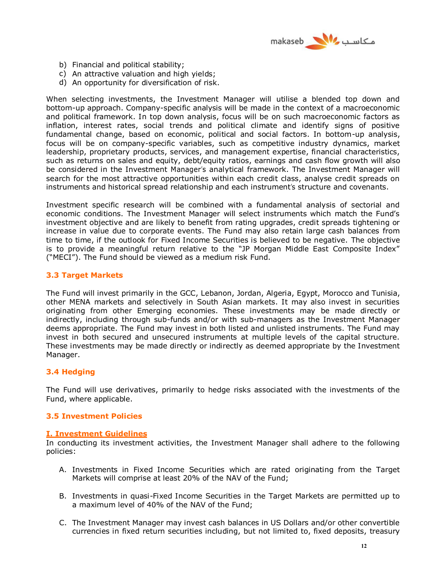

- b) Financial and political stability;
- c) An attractive valuation and high yields;
- d) An opportunity for diversification of risk.

When selecting investments, the Investment Manager will utilise a blended top down and bottom-up approach. Company-specific analysis will be made in the context of a macroeconomic and political framework. In top down analysis, focus will be on such macroeconomic factors as inflation, interest rates, social trends and political climate and identify signs of positive fundamental change, based on economic, political and social factors. In bottom-up analysis, focus will be on company-specific variables, such as competitive industry dynamics, market leadership, proprietary products, services, and management expertise, financial characteristics, such as returns on sales and equity, debt/equity ratios, earnings and cash flow growth will also be considered in the Investment Manager's analytical framework. The Investment Manager will search for the most attractive opportunities within each credit class, analyse credit spreads on instruments and historical spread relationship and each instrument's structure and covenants.

Investment specific research will be combined with a fundamental analysis of sectorial and economic conditions. The Investment Manager will select instruments which match the Fund's investment objective and are likely to benefit from rating upgrades, credit spreads tightening or increase in value due to corporate events. The Fund may also retain large cash balances from time to time, if the outlook for Fixed Income Securities is believed to be negative. The objective is to provide a meaningful return relative to the "JP Morgan Middle East Composite Index" ("MECI"). The Fund should be viewed as a medium risk Fund.

### **3.3 Target Markets**

The Fund will invest primarily in the GCC, Lebanon, Jordan, Algeria, Egypt, Morocco and Tunisia, other MENA markets and selectively in South Asian markets. It may also invest in securities originating from other Emerging economies. These investments may be made directly or indirectly, including through sub-funds and/or with sub-managers as the Investment Manager deems appropriate. The Fund may invest in both listed and unlisted instruments. The Fund may invest in both secured and unsecured instruments at multiple levels of the capital structure. These investments may be made directly or indirectly as deemed appropriate by the Investment Manager.

### **3.4 Hedging**

The Fund will use derivatives, primarily to hedge risks associated with the investments of the Fund, where applicable.

#### **3.5 Investment Policies**

#### **I. Investment Guidelines**

In conducting its investment activities, the Investment Manager shall adhere to the following policies:

- A. Investments in Fixed Income Securities which are rated originating from the Target Markets will comprise at least 20% of the NAV of the Fund;
- B. Investments in quasi-Fixed Income Securities in the Target Markets are permitted up to a maximum level of 40% of the NAV of the Fund;
- C. The Investment Manager may invest cash balances in US Dollars and/or other convertible currencies in fixed return securities including, but not limited to, fixed deposits, treasury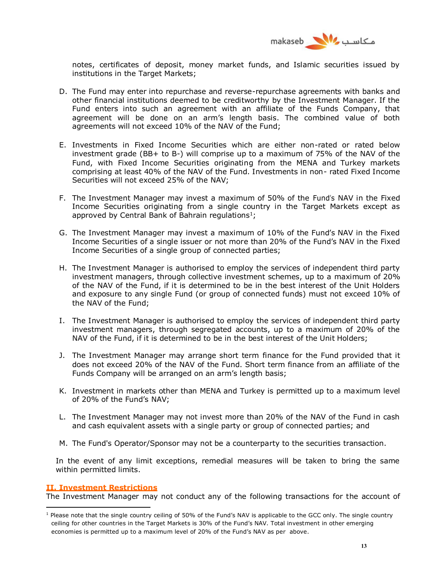

notes, certificates of deposit, money market funds, and Islamic securities issued by institutions in the Target Markets;

- D. The Fund may enter into repurchase and reverse-repurchase agreements with banks and other financial institutions deemed to be creditworthy by the Investment Manager. If the Fund enters into such an agreement with an affiliate of the Funds Company, that agreement will be done on an arm's length basis. The combined value of both agreements will not exceed 10% of the NAV of the Fund;
- E. Investments in Fixed Income Securities which are either non-rated or rated below investment grade (BB+ to B-) will comprise up to a maximum of 75% of the NAV of the Fund, with Fixed Income Securities originating from the MENA and Turkey markets comprising at least 40% of the NAV of the Fund. Investments in non- rated Fixed Income Securities will not exceed 25% of the NAV;
- F. The Investment Manager may invest a maximum of 50% of the Fund's NAV in the Fixed Income Securities originating from a single country in the Target Markets except as approved by Central Bank of Bahrain regulations<sup>1</sup>;
- G. The Investment Manager may invest a maximum of 10% of the Fund's NAV in the Fixed Income Securities of a single issuer or not more than 20% of the Fund's NAV in the Fixed Income Securities of a single group of connected parties;
- H. The Investment Manager is authorised to employ the services of independent third party investment managers, through collective investment schemes, up to a maximum of 20% of the NAV of the Fund, if it is determined to be in the best interest of the Unit Holders and exposure to any single Fund (or group of connected funds) must not exceed 10% of the NAV of the Fund;
- I. The Investment Manager is authorised to employ the services of independent third party investment managers, through segregated accounts, up to a maximum of 20% of the NAV of the Fund, if it is determined to be in the best interest of the Unit Holders;
- J. The Investment Manager may arrange short term finance for the Fund provided that it does not exceed 20% of the NAV of the Fund. Short term finance from an affiliate of the Funds Company will be arranged on an arm's length basis;
- K. Investment in markets other than MENA and Turkey is permitted up to a maximum level of 20% of the Fund's NAV;
- L. The Investment Manager may not invest more than 20% of the NAV of the Fund in cash and cash equivalent assets with a single party or group of connected parties; and
- M. The Fund's Operator/Sponsor may not be a counterparty to the securities transaction.

In the event of any limit exceptions, remedial measures will be taken to bring the same within permitted limits.

#### **II. Investment Restrictions**

 $\overline{a}$ 

The Investment Manager may not conduct any of the following transactions for the account of

 $1$  Please note that the single country ceiling of 50% of the Fund's NAV is applicable to the GCC only. The single country ceiling for other countries in the Target Markets is 30% of the Fund's NAV. Total investment in other emerging economies is permitted up to a maximum level of 20% of the Fund's NAV as per above.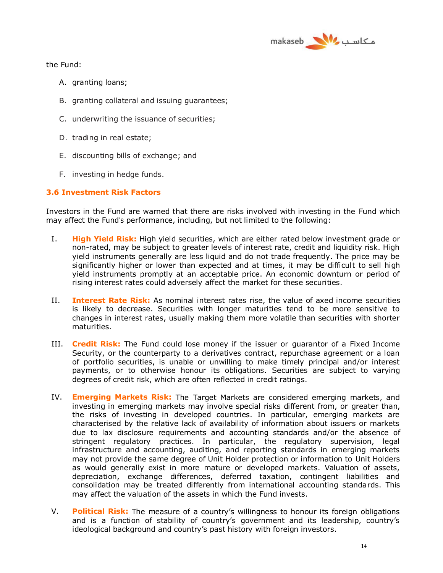

the Fund:

- A. granting loans;
- B. granting collateral and issuing guarantees;
- C. underwriting the issuance of securities;
- D. trading in real estate;
- E. discounting bills of exchange; and
- F. investing in hedge funds.

## **3.6 Investment Risk Factors**

Investors in the Fund are warned that there are risks involved with investing in the Fund which may affect the Fund's performance, including, but not limited to the following:

- I. **High Yield Risk:** High yield securities, which are either rated below investment grade or non-rated, may be subject to greater levels of interest rate, credit and liquidity risk. High yield instruments generally are less liquid and do not trade frequently. The price may be significantly higher or lower than expected and at times, it may be difficult to sell high yield instruments promptly at an acceptable price. An economic downturn or period of rising interest rates could adversely affect the market for these securities.
- II. **Interest Rate Risk:** As nominal interest rates rise, the value of axed income securities is likely to decrease. Securities with longer maturities tend to be more sensitive to changes in interest rates, usually making them more volatile than securities with shorter maturities.
- III. **Credit Risk:** The Fund could lose money if the issuer or guarantor of a Fixed Income Security, or the counterparty to a derivatives contract, repurchase agreement or a loan of portfolio securities, is unable or unwilling to make timely principal and/or interest payments, or to otherwise honour its obligations. Securities are subject to varying degrees of credit risk, which are often reflected in credit ratings.
- IV. **Emerging Markets Risk:** The Target Markets are considered emerging markets, and investing in emerging markets may involve special risks different from, or greater than, the risks of investing in developed countries. In particular, emerging markets are characterised by the relative lack of availability of information about issuers or markets due to lax disclosure requirements and accounting standards and/or the absence of stringent regulatory practices. In particular, the regulatory supervision, legal infrastructure and accounting, auditing, and reporting standards in emerging markets may not provide the same degree of Unit Holder protection or information to Unit Holders as would generally exist in more mature or developed markets. Valuation of assets, depreciation, exchange differences, deferred taxation, contingent liabilities and consolidation may be treated differently from international accounting standards. This may affect the valuation of the assets in which the Fund invests.
- V. **Political Risk:** The measure of a country's willingness to honour its foreign obligations and is a function of stability of country's government and its leadership, country's ideological background and country's past history with foreign investors.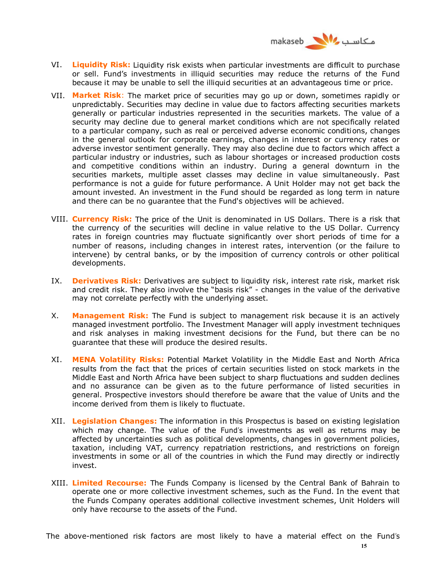

- VI. **Liquidity Risk:** Liquidity risk exists when particular investments are difficult to purchase or sell. Fund's investments in illiquid securities may reduce the returns of the Fund because it may be unable to sell the illiquid securities at an advantageous time or price.
- VII. **Market Risk**: The market price of securities may go up or down, sometimes rapidly or unpredictably. Securities may decline in value due to factors affecting securities markets generally or particular industries represented in the securities markets. The value of a security may decline due to general market conditions which are not specifically related to a particular company, such as real or perceived adverse economic conditions, changes in the general outlook for corporate earnings, changes in interest or currency rates or adverse investor sentiment generally. They may also decline due to factors which affect a particular industry or industries, such as labour shortages or increased production costs and competitive conditions within an industry. During a general downturn in the securities markets, multiple asset classes may decline in value simultaneously. Past performance is not a guide for future performance. A Unit Holder may not get back the amount invested. An investment in the Fund should be regarded as long term in nature and there can be no guarantee that the Fund's objectives will be achieved.
- VIII. **Currency Risk:** The price of the Unit is denominated in US Dollars. There is a risk that the currency of the securities will decline in value relative to the US Dollar. Currency rates in foreign countries may fluctuate significantly over short periods of time for a number of reasons, including changes in interest rates, intervention (or the failure to intervene) by central banks, or by the imposition of currency controls or other political developments.
- IX. **Derivatives Risk:** Derivatives are subject to liquidity risk, interest rate risk, market risk and credit risk. They also involve the "basis risk" - changes in the value of the derivative may not correlate perfectly with the underlying asset.
- X. **Management Risk:** The Fund is subject to management risk because it is an actively managed investment portfolio. The Investment Manager will apply investment techniques and risk analyses in making investment decisions for the Fund, but there can be no guarantee that these will produce the desired results.
- XI. **MENA Volatility Risks:** Potential Market Volatility in the Middle East and North Africa results from the fact that the prices of certain securities listed on stock markets in the Middle East and North Africa have been subject to sharp fluctuations and sudden declines and no assurance can be given as to the future performance of listed securities in general. Prospective investors should therefore be aware that the value of Units and the income derived from them is likely to fluctuate.
- XII. **Legislation Changes:** The information in this Prospectus is based on existing legislation which may change. The value of the Fund's investments as well as returns may be affected by uncertainties such as political developments, changes in government policies, taxation, including VAT, currency repatriation restrictions, and restrictions on foreign investments in some or all of the countries in which the Fund may directly or indirectly invest.
- XIII. **Limited Recourse:** The Funds Company is licensed by the Central Bank of Bahrain to operate one or more collective investment schemes, such as the Fund. In the event that the Funds Company operates additional collective investment schemes, Unit Holders will only have recourse to the assets of the Fund.

The above-mentioned risk factors are most likely to have a material effect on the Fund's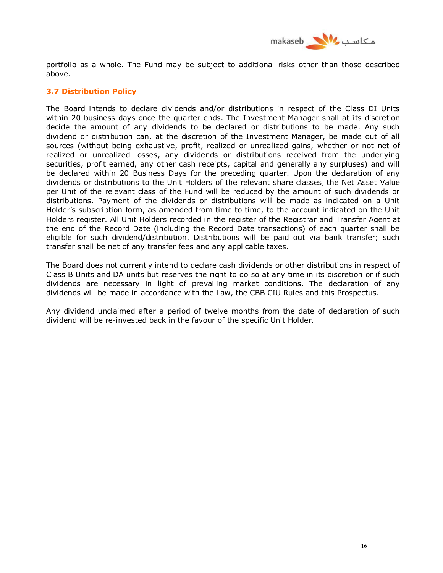

portfolio as a whole. The Fund may be subject to additional risks other than those described above.

## **3.7 Distribution Policy**

The Board intends to declare dividends and/or distributions in respect of the Class DI Units within 20 business days once the quarter ends. The Investment Manager shall at its discretion decide the amount of any dividends to be declared or distributions to be made. Any such dividend or distribution can, at the discretion of the Investment Manager, be made out of all sources (without being exhaustive, profit, realized or unrealized gains, whether or not net of realized or unrealized losses, any dividends or distributions received from the underlying securities, profit earned, any other cash receipts, capital and generally any surpluses) and will be declared within 20 Business Days for the preceding quarter. Upon the declaration of any dividends or distributions to the Unit Holders of the relevant share classes, the Net Asset Value per Unit of the relevant class of the Fund will be reduced by the amount of such dividends or distributions. Payment of the dividends or distributions will be made as indicated on a Unit Holder's subscription form, as amended from time to time, to the account indicated on the Unit Holders register. All Unit Holders recorded in the register of the Registrar and Transfer Agent at the end of the Record Date (including the Record Date transactions) of each quarter shall be eligible for such dividend/distribution. Distributions will be paid out via bank transfer; such transfer shall be net of any transfer fees and any applicable taxes.

The Board does not currently intend to declare cash dividends or other distributions in respect of Class B Units and DA units but reserves the right to do so at any time in its discretion or if such dividends are necessary in light of prevailing market conditions. The declaration of any dividends will be made in accordance with the Law, the CBB CIU Rules and this Prospectus.

Any dividend unclaimed after a period of twelve months from the date of declaration of such dividend will be re-invested back in the favour of the specific Unit Holder.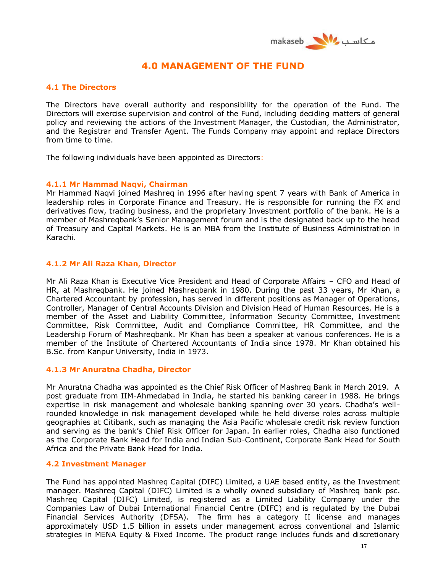

# **4.0 MANAGEMENT OF THE FUND**

## **4.1 The Directors**

The Directors have overall authority and responsibility for the operation of the Fund. The Directors will exercise supervision and control of the Fund, including deciding matters of general policy and reviewing the actions of the Investment Manager, the Custodian, the Administrator, and the Registrar and Transfer Agent. The Funds Company may appoint and replace Directors from time to time.

The following individuals have been appointed as Directors:

### **4.1.1 Mr Hammad Naqvi, Chairman**

Mr Hammad Naqvi joined Mashreq in 1996 after having spent 7 years with Bank of America in leadership roles in Corporate Finance and Treasury. He is responsible for running the FX and derivatives flow, trading business, and the proprietary Investment portfolio of the bank. He is a member of Mashreqbank's Senior Management forum and is the designated back up to the head of Treasury and Capital Markets. He is an MBA from the Institute of Business Administration in Karachi.

### **4.1.2 Mr Ali Raza Khan, Director**

Mr Ali Raza Khan is Executive Vice President and Head of Corporate Affairs – CFO and Head of HR, at Mashreqbank. He joined Mashreqbank in 1980. During the past 33 years, Mr Khan, a Chartered Accountant by profession, has served in different positions as Manager of Operations, Controller, Manager of Central Accounts Division and Division Head of Human Resources. He is a member of the Asset and Liability Committee, Information Security Committee, Investment Committee, Risk Committee, Audit and Compliance Committee, HR Committee, and the Leadership Forum of Mashreqbank. Mr Khan has been a speaker at various conferences. He is a member of the Institute of Chartered Accountants of India since 1978. Mr Khan obtained his B.Sc. from Kanpur University, India in 1973.

### **4.1.3 Mr Anuratna Chadha, Director**

Mr Anuratna Chadha was appointed as the Chief Risk Officer of Mashreq Bank in March 2019. A post graduate from IIM-Ahmedabad in India, he started his banking career in 1988. He brings expertise in risk management and wholesale banking spanning over 30 years. Chadha's wellrounded knowledge in risk management developed while he held diverse roles across multiple geographies at Citibank, such as managing the Asia Pacific wholesale credit risk review function and serving as the bank's Chief Risk Officer for Japan. In earlier roles, Chadha also functioned as the Corporate Bank Head for India and Indian Sub-Continent, Corporate Bank Head for South Africa and the Private Bank Head for India.

### **4.2 Investment Manager**

The Fund has appointed Mashreq Capital (DIFC) Limited, a UAE based entity, as the Investment manager. Mashreq Capital (DIFC) Limited is a wholly owned subsidiary of Mashreq bank psc. Mashreq Capital (DIFC) Limited, is registered as a Limited Liability Company under the Companies Law of Dubai International Financial Centre (DIFC) and is regulated by the Dubai Financial Services Authority (DFSA). The firm has a category II license and manages approximately USD 1.5 billion in assets under management across conventional and Islamic strategies in MENA Equity & Fixed Income. The product range includes funds and discretionary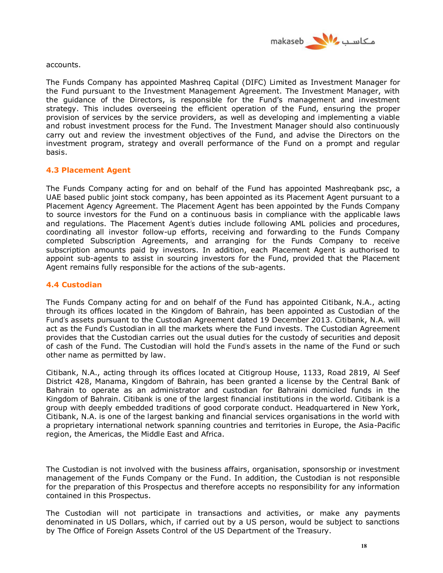

accounts.

The Funds Company has appointed Mashreq Capital (DIFC) Limited as Investment Manager for the Fund pursuant to the Investment Management Agreement. The Investment Manager, with the guidance of the Directors, is responsible for the Fund's management and investment strategy. This includes overseeing the efficient operation of the Fund, ensuring the proper provision of services by the service providers, as well as developing and implementing a viable and robust investment process for the Fund. The Investment Manager should also continuously carry out and review the investment objectives of the Fund, and advise the Directors on the investment program, strategy and overall performance of the Fund on a prompt and regular basis.

## **4.3 Placement Agent**

The Funds Company acting for and on behalf of the Fund has appointed Mashreqbank psc, a UAE based public joint stock company, has been appointed as its Placement Agent pursuant to a Placement Agency Agreement. The Placement Agent has been appointed by the Funds Company to source investors for the Fund on a continuous basis in compliance with the applicable laws and regulations. The Placement Agent's duties include following AML policies and procedures, coordinating all investor follow-up efforts, receiving and forwarding to the Funds Company completed Subscription Agreements, and arranging for the Funds Company to receive subscription amounts paid by investors. In addition, each Placement Agent is authorised to appoint sub-agents to assist in sourcing investors for the Fund, provided that the Placement Agent remains fully responsible for the actions of the sub-agents.

## **4.4 Custodian**

The Funds Company acting for and on behalf of the Fund has appointed Citibank, N.A., acting through its offices located in the Kingdom of Bahrain, has been appointed as Custodian of the Fund's assets pursuant to the Custodian Agreement dated 19 December 2013. Citibank, N.A. will act as the Fund's Custodian in all the markets where the Fund invests. The Custodian Agreement provides that the Custodian carries out the usual duties for the custody of securities and deposit of cash of the Fund. The Custodian will hold the Fund's assets in the name of the Fund or such other name as permitted by law.

Citibank, N.A., acting through its offices located at Citigroup House, 1133, Road 2819, Al Seef District 428, Manama, Kingdom of Bahrain, has been granted a license by the Central Bank of Bahrain to operate as an administrator and custodian for Bahraini domiciled funds in the Kingdom of Bahrain. Citibank is one of the largest financial institutions in the world. Citibank is a group with deeply embedded traditions of good corporate conduct. Headquartered in New York, Citibank, N.A. is one of the largest banking and financial services organisations in the world with a proprietary international network spanning countries and territories in Europe, the Asia-Pacific region, the Americas, the Middle East and Africa.

The Custodian is not involved with the business affairs, organisation, sponsorship or investment management of the Funds Company or the Fund. In addition, the Custodian is not responsible for the preparation of this Prospectus and therefore accepts no responsibility for any information contained in this Prospectus.

The Custodian will not participate in transactions and activities, or make any payments denominated in US Dollars, which, if carried out by a US person, would be subject to sanctions by The Office of Foreign Assets Control of the US Department of the Treasury.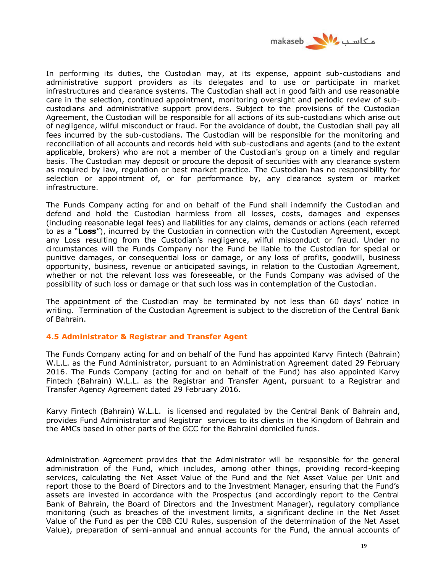

In performing its duties, the Custodian may, at its expense, appoint sub-custodians and administrative support providers as its delegates and to use or participate in market infrastructures and clearance systems. The Custodian shall act in good faith and use reasonable care in the selection, continued appointment, monitoring oversight and periodic review of subcustodians and administrative support providers. Subject to the provisions of the Custodian Agreement, the Custodian will be responsible for all actions of its sub-custodians which arise out of negligence, wilful misconduct or fraud. For the avoidance of doubt, the Custodian shall pay all fees incurred by the sub-custodians. The Custodian will be responsible for the monitoring and reconciliation of all accounts and records held with sub-custodians and agents (and to the extent applicable, brokers) who are not a member of the Custodian's group on a timely and regular basis. The Custodian may deposit or procure the deposit of securities with any clearance system as required by law, regulation or best market practice. The Custodian has no responsibility for selection or appointment of, or for performance by, any clearance system or market infrastructure.

The Funds Company acting for and on behalf of the Fund shall indemnify the Custodian and defend and hold the Custodian harmless from all losses, costs, damages and expenses (including reasonable legal fees) and liabilities for any claims, demands or actions (each referred to as a "**Loss**"), incurred by the Custodian in connection with the Custodian Agreement, except any Loss resulting from the Custodian's negligence, wilful misconduct or fraud. Under no circumstances will the Funds Company nor the Fund be liable to the Custodian for special or punitive damages, or consequential loss or damage, or any loss of profits, goodwill, business opportunity, business, revenue or anticipated savings, in relation to the Custodian Agreement, whether or not the relevant loss was foreseeable, or the Funds Company was advised of the possibility of such loss or damage or that such loss was in contemplation of the Custodian.

The appointment of the Custodian may be terminated by not less than 60 days' notice in writing. Termination of the Custodian Agreement is subject to the discretion of the Central Bank of Bahrain.

### **4.5 Administrator & Registrar and Transfer Agent**

The Funds Company acting for and on behalf of the Fund has appointed Karvy Fintech (Bahrain) W.L.L. as the Fund Administrator, pursuant to an Administration Agreement dated 29 February 2016. The Funds Company (acting for and on behalf of the Fund) has also appointed Karvy Fintech (Bahrain) W.L.L. as the Registrar and Transfer Agent, pursuant to a Registrar and Transfer Agency Agreement dated 29 February 2016.

Karvy Fintech (Bahrain) W.L.L. is licensed and regulated by the Central Bank of Bahrain and, provides Fund Administrator and Registrar services to its clients in the Kingdom of Bahrain and the AMCs based in other parts of the GCC for the Bahraini domiciled funds.

Administration Agreement provides that the Administrator will be responsible for the general administration of the Fund, which includes, among other things, providing record-keeping services, calculating the Net Asset Value of the Fund and the Net Asset Value per Unit and report those to the Board of Directors and to the Investment Manager, ensuring that the Fund's assets are invested in accordance with the Prospectus (and accordingly report to the Central Bank of Bahrain, the Board of Directors and the Investment Manager), regulatory compliance monitoring (such as breaches of the investment limits, a significant decline in the Net Asset Value of the Fund as per the CBB CIU Rules, suspension of the determination of the Net Asset Value), preparation of semi-annual and annual accounts for the Fund, the annual accounts of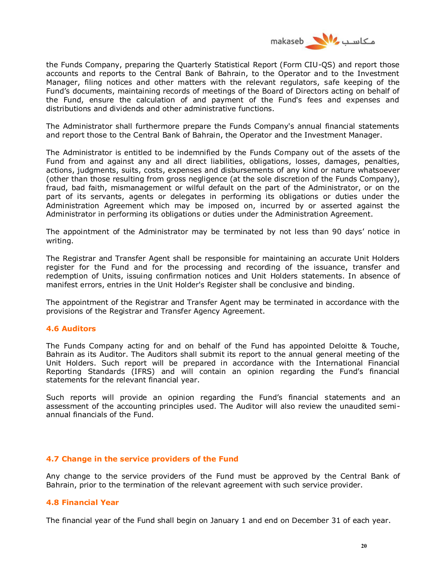

the Funds Company, preparing the Quarterly Statistical Report (Form CIU-QS) and report those accounts and reports to the Central Bank of Bahrain, to the Operator and to the Investment Manager, filing notices and other matters with the relevant regulators, safe keeping of the Fund's documents, maintaining records of meetings of the Board of Directors acting on behalf of the Fund, ensure the calculation of and payment of the Fund's fees and expenses and distributions and dividends and other administrative functions.

The Administrator shall furthermore prepare the Funds Company's annual financial statements and report those to the Central Bank of Bahrain, the Operator and the Investment Manager.

The Administrator is entitled to be indemnified by the Funds Company out of the assets of the Fund from and against any and all direct liabilities, obligations, losses, damages, penalties, actions, judgments, suits, costs, expenses and disbursements of any kind or nature whatsoever (other than those resulting from gross negligence (at the sole discretion of the Funds Company), fraud, bad faith, mismanagement or wilful default on the part of the Administrator, or on the part of its servants, agents or delegates in performing its obligations or duties under the Administration Agreement which may be imposed on, incurred by or asserted against the Administrator in performing its obligations or duties under the Administration Agreement.

The appointment of the Administrator may be terminated by not less than 90 days' notice in writing.

The Registrar and Transfer Agent shall be responsible for maintaining an accurate Unit Holders register for the Fund and for the processing and recording of the issuance, transfer and redemption of Units, issuing confirmation notices and Unit Holders statements. In absence of manifest errors, entries in the Unit Holder's Register shall be conclusive and binding.

The appointment of the Registrar and Transfer Agent may be terminated in accordance with the provisions of the Registrar and Transfer Agency Agreement.

#### **4.6 Auditors**

The Funds Company acting for and on behalf of the Fund has appointed Deloitte & Touche, Bahrain as its Auditor. The Auditors shall submit its report to the annual general meeting of the Unit Holders. Such report will be prepared in accordance with the International Financial Reporting Standards (IFRS) and will contain an opinion regarding the Fund's financial statements for the relevant financial year.

Such reports will provide an opinion regarding the Fund's financial statements and an assessment of the accounting principles used. The Auditor will also review the unaudited semiannual financials of the Fund.

### **4.7 Change in the service providers of the Fund**

Any change to the service providers of the Fund must be approved by the Central Bank of Bahrain, prior to the termination of the relevant agreement with such service provider.

#### **4.8 Financial Year**

The financial year of the Fund shall begin on January 1 and end on December 31 of each year.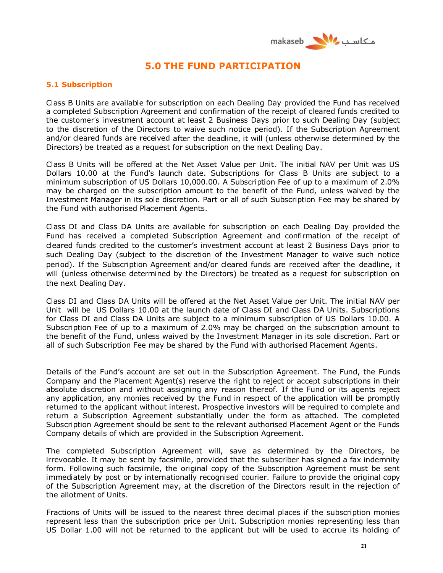

# **5.0 THE FUND PARTICIPATION**

## **5.1 Subscription**

Class B Units are available for subscription on each Dealing Day provided the Fund has received a completed Subscription Agreement and confirmation of the receipt of cleared funds credited to the customer's investment account at least 2 Business Days prior to such Dealing Day (subject to the discretion of the Directors to waive such notice period). If the Subscription Agreement and/or cleared funds are received after the deadline, it will (unless otherwise determined by the Directors) be treated as a request for subscription on the next Dealing Day.

Class B Units will be offered at the Net Asset Value per Unit. The initial NAV per Unit was US Dollars 10.00 at the Fund's launch date. Subscriptions for Class B Units are subject to a minimum subscription of US Dollars 10,000.00. A Subscription Fee of up to a maximum of 2.0% may be charged on the subscription amount to the benefit of the Fund, unless waived by the Investment Manager in its sole discretion. Part or all of such Subscription Fee may be shared by the Fund with authorised Placement Agents.

Class DI and Class DA Units are available for subscription on each Dealing Day provided the Fund has received a completed Subscription Agreement and confirmation of the receipt of cleared funds credited to the customer's investment account at least 2 Business Days prior to such Dealing Day (subject to the discretion of the Investment Manager to waive such notice period). If the Subscription Agreement and/or cleared funds are received after the deadline, it will (unless otherwise determined by the Directors) be treated as a request for subscription on the next Dealing Day.

Class DI and Class DA Units will be offered at the Net Asset Value per Unit. The initial NAV per Unit will be US Dollars 10.00 at the launch date of Class DI and Class DA Units. Subscriptions for Class DI and Class DA Units are subject to a minimum subscription of US Dollars 10.00. A Subscription Fee of up to a maximum of 2.0% may be charged on the subscription amount to the benefit of the Fund, unless waived by the Investment Manager in its sole discretion. Part or all of such Subscription Fee may be shared by the Fund with authorised Placement Agents.

Details of the Fund's account are set out in the Subscription Agreement. The Fund, the Funds Company and the Placement Agent(s) reserve the right to reject or accept subscriptions in their absolute discretion and without assigning any reason thereof. If the Fund or its agents reject any application, any monies received by the Fund in respect of the application will be promptly returned to the applicant without interest. Prospective investors will be required to complete and return a Subscription Agreement substantially under the form as attached. The completed Subscription Agreement should be sent to the relevant authorised Placement Agent or the Funds Company details of which are provided in the Subscription Agreement.

The completed Subscription Agreement will, save as determined by the Directors, be irrevocable. It may be sent by facsimile, provided that the subscriber has signed a fax indemnity form. Following such facsimile, the original copy of the Subscription Agreement must be sent immediately by post or by internationally recognised courier. Failure to provide the original copy of the Subscription Agreement may, at the discretion of the Directors result in the rejection of the allotment of Units.

Fractions of Units will be issued to the nearest three decimal places if the subscription monies represent less than the subscription price per Unit. Subscription monies representing less than US Dollar 1.00 will not be returned to the applicant but will be used to accrue its holding of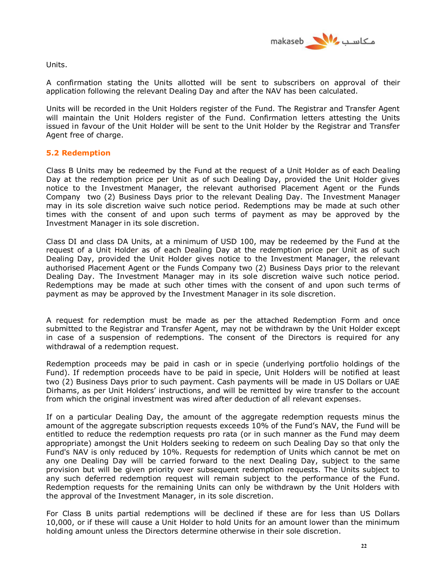

Units.

A confirmation stating the Units allotted will be sent to subscribers on approval of their application following the relevant Dealing Day and after the NAV has been calculated.

Units will be recorded in the Unit Holders register of the Fund. The Registrar and Transfer Agent will maintain the Unit Holders register of the Fund. Confirmation letters attesting the Units issued in favour of the Unit Holder will be sent to the Unit Holder by the Registrar and Transfer Agent free of charge.

## **5.2 Redemption**

Class B Units may be redeemed by the Fund at the request of a Unit Holder as of each Dealing Day at the redemption price per Unit as of such Dealing Day, provided the Unit Holder gives notice to the Investment Manager, the relevant authorised Placement Agent or the Funds Company two (2) Business Days prior to the relevant Dealing Day. The Investment Manager may in its sole discretion waive such notice period. Redemptions may be made at such other times with the consent of and upon such terms of payment as may be approved by the Investment Manager in its sole discretion.

Class DI and class DA Units, at a minimum of USD 100, may be redeemed by the Fund at the request of a Unit Holder as of each Dealing Day at the redemption price per Unit as of such Dealing Day, provided the Unit Holder gives notice to the Investment Manager, the relevant authorised Placement Agent or the Funds Company two (2) Business Days prior to the relevant Dealing Day. The Investment Manager may in its sole discretion waive such notice period. Redemptions may be made at such other times with the consent of and upon such terms of payment as may be approved by the Investment Manager in its sole discretion.

A request for redemption must be made as per the attached Redemption Form and once submitted to the Registrar and Transfer Agent, may not be withdrawn by the Unit Holder except in case of a suspension of redemptions. The consent of the Directors is required for any withdrawal of a redemption request.

Redemption proceeds may be paid in cash or in specie (underlying portfolio holdings of the Fund). If redemption proceeds have to be paid in specie, Unit Holders will be notified at least two (2) Business Days prior to such payment. Cash payments will be made in US Dollars or UAE Dirhams, as per Unit Holders' instructions, and will be remitted by wire transfer to the account from which the original investment was wired after deduction of all relevant expenses.

If on a particular Dealing Day, the amount of the aggregate redemption requests minus the amount of the aggregate subscription requests exceeds 10% of the Fund's NAV, the Fund will be entitled to reduce the redemption requests pro rata (or in such manner as the Fund may deem appropriate) amongst the Unit Holders seeking to redeem on such Dealing Day so that only the Fund's NAV is only reduced by 10%. Requests for redemption of Units which cannot be met on any one Dealing Day will be carried forward to the next Dealing Day, subject to the same provision but will be given priority over subsequent redemption requests. The Units subject to any such deferred redemption request will remain subject to the performance of the Fund. Redemption requests for the remaining Units can only be withdrawn by the Unit Holders with the approval of the Investment Manager, in its sole discretion.

For Class B units partial redemptions will be declined if these are for less than US Dollars 10,000, or if these will cause a Unit Holder to hold Units for an amount lower than the minimum holding amount unless the Directors determine otherwise in their sole discretion.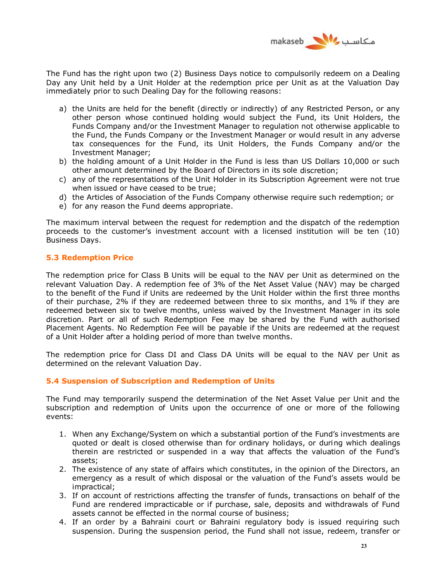

The Fund has the right upon two (2) Business Days notice to compulsorily redeem on a Dealing Day any Unit held by a Unit Holder at the redemption price per Unit as at the Valuation Day immediately prior to such Dealing Day for the following reasons:

- a) the Units are held for the benefit (directly or indirectly) of any Restricted Person, or any other person whose continued holding would subject the Fund, its Unit Holders, the Funds Company and/or the Investment Manager to regulation not otherwise applicable to the Fund, the Funds Company or the Investment Manager or would result in any adverse tax consequences for the Fund, its Unit Holders, the Funds Company and/or the Investment Manager;
- b) the holding amount of a Unit Holder in the Fund is less than US Dollars 10,000 or such other amount determined by the Board of Directors in its sole discretion;
- c) any of the representations of the Unit Holder in its Subscription Agreement were not true when issued or have ceased to be true;
- d) the Articles of Association of the Funds Company otherwise require such redemption; or
- e) for any reason the Fund deems appropriate.

The maximum interval between the request for redemption and the dispatch of the redemption proceeds to the customer's investment account with a licensed institution will be ten (10) Business Days.

## **5.3 Redemption Price**

The redemption price for Class B Units will be equal to the NAV per Unit as determined on the relevant Valuation Day. A redemption fee of 3% of the Net Asset Value (NAV) may be charged to the benefit of the Fund if Units are redeemed by the Unit Holder within the first three months of their purchase, 2% if they are redeemed between three to six months, and 1% if they are redeemed between six to twelve months, unless waived by the Investment Manager in its sole discretion. Part or all of such Redemption Fee may be shared by the Fund with authorised Placement Agents. No Redemption Fee will be payable if the Units are redeemed at the request of a Unit Holder after a holding period of more than twelve months.

The redemption price for Class DI and Class DA Units will be equal to the NAV per Unit as determined on the relevant Valuation Day.

### **5.4 Suspension of Subscription and Redemption of Units**

The Fund may temporarily suspend the determination of the Net Asset Value per Unit and the subscription and redemption of Units upon the occurrence of one or more of the following events:

- 1. When any Exchange/System on which a substantial portion of the Fund's investments are quoted or dealt is closed otherwise than for ordinary holidays, or during which dealings therein are restricted or suspended in a way that affects the valuation of the Fund's assets;
- 2. The existence of any state of affairs which constitutes, in the opinion of the Directors, an emergency as a result of which disposal or the valuation of the Fund's assets would be impractical;
- 3. If on account of restrictions affecting the transfer of funds, transactions on behalf of the Fund are rendered impracticable or if purchase, sale, deposits and withdrawals of Fund assets cannot be effected in the normal course of business;
- 4. If an order by a Bahraini court or Bahraini regulatory body is issued requiring such suspension. During the suspension period, the Fund shall not issue, redeem, transfer or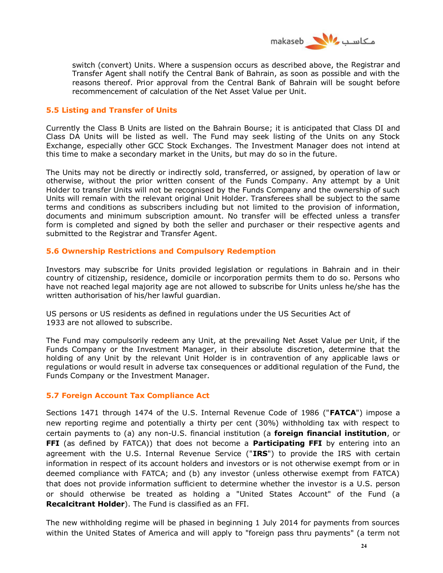

switch (convert) Units. Where a suspension occurs as described above, the Registrar and Transfer Agent shall notify the Central Bank of Bahrain, as soon as possible and with the reasons thereof. Prior approval from the Central Bank of Bahrain will be sought before recommencement of calculation of the Net Asset Value per Unit.

## **5.5 Listing and Transfer of Units**

Currently the Class B Units are listed on the Bahrain Bourse; it is anticipated that Class DI and Class DA Units will be listed as well. The Fund may seek listing of the Units on any Stock Exchange, especially other GCC Stock Exchanges. The Investment Manager does not intend at this time to make a secondary market in the Units, but may do so in the future.

The Units may not be directly or indirectly sold, transferred, or assigned, by operation of law or otherwise, without the prior written consent of the Funds Company. Any attempt by a Unit Holder to transfer Units will not be recognised by the Funds Company and the ownership of such Units will remain with the relevant original Unit Holder. Transferees shall be subject to the same terms and conditions as subscribers including but not limited to the provision of information, documents and minimum subscription amount. No transfer will be effected unless a transfer form is completed and signed by both the seller and purchaser or their respective agents and submitted to the Registrar and Transfer Agent.

### **5.6 Ownership Restrictions and Compulsory Redemption**

Investors may subscribe for Units provided legislation or regulations in Bahrain and in their country of citizenship, residence, domicile or incorporation permits them to do so. Persons who have not reached legal majority age are not allowed to subscribe for Units unless he/she has the written authorisation of his/her lawful guardian.

US persons or US residents as defined in regulations under the US Securities Act of 1933 are not allowed to subscribe.

The Fund may compulsorily redeem any Unit, at the prevailing Net Asset Value per Unit, if the Funds Company or the Investment Manager, in their absolute discretion, determine that the holding of any Unit by the relevant Unit Holder is in contravention of any applicable laws or regulations or would result in adverse tax consequences or additional regulation of the Fund, the Funds Company or the Investment Manager.

## **5.7 Foreign Account Tax Compliance Act**

Sections 1471 through 1474 of the U.S. Internal Revenue Code of 1986 ("**FATCA**") impose a new reporting regime and potentially a thirty per cent (30%) withholding tax with respect to certain payments to (a) any non-U.S. financial institution (a **foreign financial institution**, or **FFI** (as defined by FATCA)) that does not become a **Participating FFI** by entering into an agreement with the U.S. Internal Revenue Service ("**IRS**") to provide the IRS with certain information in respect of its account holders and investors or is not otherwise exempt from or in deemed compliance with FATCA; and (b) any investor (unless otherwise exempt from FATCA) that does not provide information sufficient to determine whether the investor is a U.S. person or should otherwise be treated as holding a "United States Account" of the Fund (a **Recalcitrant Holder**). The Fund is classified as an FFI.

The new withholding regime will be phased in beginning 1 July 2014 for payments from sources within the United States of America and will apply to "foreign pass thru payments" (a term not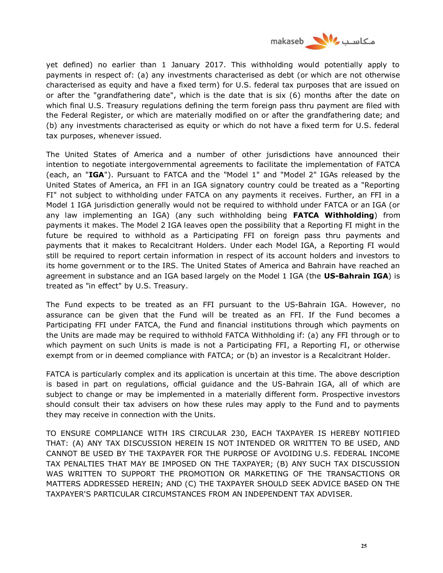

yet defined) no earlier than 1 January 2017. This withholding would potentially apply to payments in respect of: (a) any investments characterised as debt (or which are not otherwise characterised as equity and have a fixed term) for U.S. federal tax purposes that are issued on or after the "grandfathering date", which is the date that is six (6) months after the date on which final U.S. Treasury regulations defining the term foreign pass thru payment are filed with the Federal Register, or which are materially modified on or after the grandfathering date; and (b) any investments characterised as equity or which do not have a fixed term for U.S. federal tax purposes, whenever issued.

The United States of America and a number of other jurisdictions have announced their intention to negotiate intergovernmental agreements to facilitate the implementation of FATCA (each, an "**IGA**"). Pursuant to FATCA and the "Model 1" and "Model 2" IGAs released by the United States of America, an FFI in an IGA signatory country could be treated as a "Reporting FI" not subject to withholding under FATCA on any payments it receives. Further, an FFI in a Model 1 IGA jurisdiction generally would not be required to withhold under FATCA or an IGA (or any law implementing an IGA) (any such withholding being **FATCA Withholding**) from payments it makes. The Model 2 IGA leaves open the possibility that a Reporting FI might in the future be required to withhold as a Participating FFI on foreign pass thru payments and payments that it makes to Recalcitrant Holders. Under each Model IGA, a Reporting FI would still be required to report certain information in respect of its account holders and investors to its home government or to the IRS. The United States of America and Bahrain have reached an agreement in substance and an IGA based largely on the Model 1 IGA (the **US-Bahrain IGA**) is treated as "in effect" by U.S. Treasury.

The Fund expects to be treated as an FFI pursuant to the US-Bahrain IGA. However, no assurance can be given that the Fund will be treated as an FFI. If the Fund becomes a Participating FFI under FATCA, the Fund and financial institutions through which payments on the Units are made may be required to withhold FATCA Withholding if: (a) any FFI through or to which payment on such Units is made is not a Participating FFI, a Reporting FI, or otherwise exempt from or in deemed compliance with FATCA; or (b) an investor is a Recalcitrant Holder.

FATCA is particularly complex and its application is uncertain at this time. The above description is based in part on regulations, official guidance and the US-Bahrain IGA, all of which are subject to change or may be implemented in a materially different form. Prospective investors should consult their tax advisers on how these rules may apply to the Fund and to payments they may receive in connection with the Units.

TO ENSURE COMPLIANCE WITH IRS CIRCULAR 230, EACH TAXPAYER IS HEREBY NOTIFIED THAT: (A) ANY TAX DISCUSSION HEREIN IS NOT INTENDED OR WRITTEN TO BE USED, AND CANNOT BE USED BY THE TAXPAYER FOR THE PURPOSE OF AVOIDING U.S. FEDERAL INCOME TAX PENALTIES THAT MAY BE IMPOSED ON THE TAXPAYER; (B) ANY SUCH TAX DISCUSSION WAS WRITTEN TO SUPPORT THE PROMOTION OR MARKETING OF THE TRANSACTIONS OR MATTERS ADDRESSED HEREIN; AND (C) THE TAXPAYER SHOULD SEEK ADVICE BASED ON THE TAXPAYER'S PARTICULAR CIRCUMSTANCES FROM AN INDEPENDENT TAX ADVISER.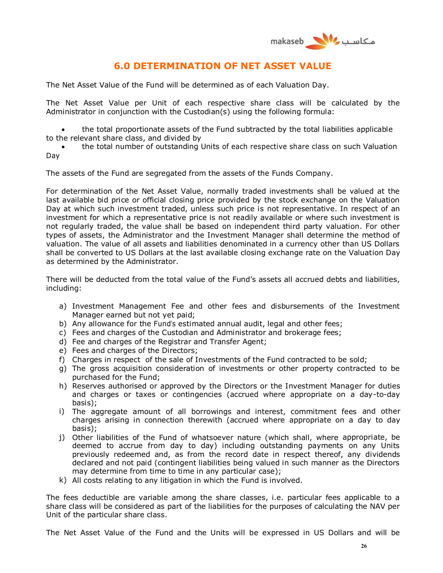

# **6.0 DETERMINATION OF NET ASSET VALUE**

The Net Asset Value of the Fund will be determined as of each Valuation Day.

The Net Asset Value per Unit of each respective share class will be calculated by the Administrator in conjunction with the Custodian(s) using the following formula:

 the total proportionate assets of the Fund subtracted by the total liabilities applicable to the relevant share class, and divided by

 the total number of outstanding Units of each respective share class on such Valuation Day

The assets of the Fund are segregated from the assets of the Funds Company.

For determination of the Net Asset Value, normally traded investments shall be valued at the last available bid price or official closing price provided by the stock exchange on the Valuation Day at which such investment traded, unless such price is not representative. In respect of an investment for which a representative price is not readily available or where such investment is not regularly traded, the value shall be based on independent third party valuation. For other types of assets, the Administrator and the Investment Manager shall determine the method of valuation. The value of all assets and liabilities denominated in a currency other than US Dollars shall be converted to US Dollars at the last available closing exchange rate on the Valuation Day as determined by the Administrator.

There will be deducted from the total value of the Fund's assets all accrued debts and liabilities, including:

- a) Investment Management Fee and other fees and disbursements of the Investment Manager earned but not yet paid;
- b) Any allowance for the Fund's estimated annual audit, legal and other fees;
- c) Fees and charges of the Custodian and Administrator and brokerage fees;
- d) Fee and charges of the Registrar and Transfer Agent;
- e) Fees and charges of the Directors;
- f) Charges in respect of the sale of Investments of the Fund contracted to be sold;
- g) The gross acquisition consideration of investments or other property contracted to be purchased for the Fund;
- h) Reserves authorised or approved by the Directors or the Investment Manager for duties and charges or taxes or contingencies (accrued where appropriate on a day-to-day basis);
- i) The aggregate amount of all borrowings and interest, commitment fees and other charges arising in connection therewith (accrued where appropriate on a day to day basis);
- j) Other liabilities of the Fund of whatsoever nature (which shall, where appropriate, be deemed to accrue from day to day) including outstanding payments on any Units previously redeemed and, as from the record date in respect thereof, any dividends declared and not paid (contingent liabilities being valued in such manner as the Directors may determine from time to time in any particular case);
- k) All costs relating to any litigation in which the Fund is involved.

The fees deductible are variable among the share classes, i.e. particular fees applicable to a share class will be considered as part of the liabilities for the purposes of calculating the NAV per Unit of the particular share class.

The Net Asset Value of the Fund and the Units will be expressed in US Dollars and will be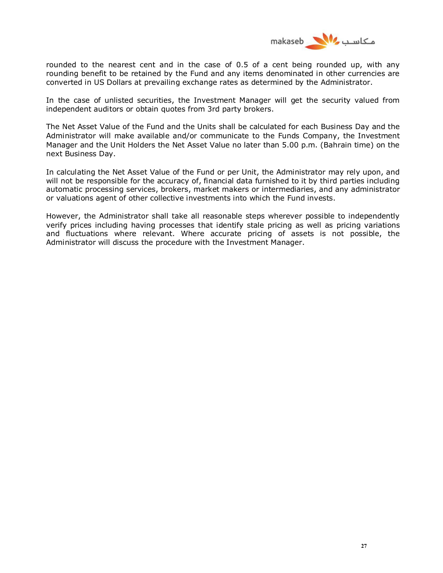

rounded to the nearest cent and in the case of 0.5 of a cent being rounded up, with any rounding benefit to be retained by the Fund and any items denominated in other currencies are converted in US Dollars at prevailing exchange rates as determined by the Administrator.

In the case of unlisted securities, the Investment Manager will get the security valued from independent auditors or obtain quotes from 3rd party brokers.

The Net Asset Value of the Fund and the Units shall be calculated for each Business Day and the Administrator will make available and/or communicate to the Funds Company, the Investment Manager and the Unit Holders the Net Asset Value no later than 5.00 p.m. (Bahrain time) on the next Business Day.

In calculating the Net Asset Value of the Fund or per Unit, the Administrator may rely upon, and will not be responsible for the accuracy of, financial data furnished to it by third parties including automatic processing services, brokers, market makers or intermediaries, and any administrator or valuations agent of other collective investments into which the Fund invests.

However, the Administrator shall take all reasonable steps wherever possible to independently verify prices including having processes that identify stale pricing as well as pricing variations and fluctuations where relevant. Where accurate pricing of assets is not possible, the Administrator will discuss the procedure with the Investment Manager.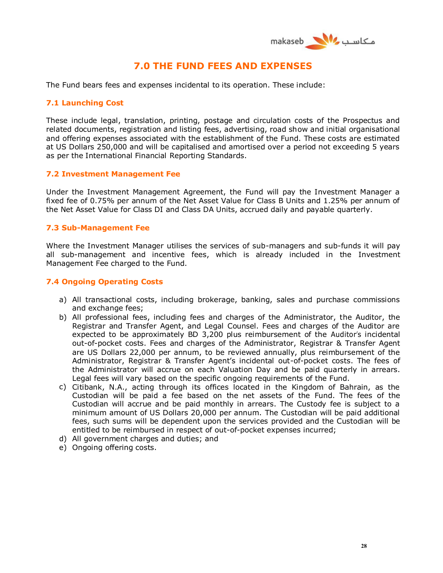

# **7.0 THE FUND FEES AND EXPENSES**

The Fund bears fees and expenses incidental to its operation. These include:

### **7.1 Launching Cost**

These include legal, translation, printing, postage and circulation costs of the Prospectus and related documents, registration and listing fees, advertising, road show and initial organisational and offering expenses associated with the establishment of the Fund. These costs are estimated at US Dollars 250,000 and will be capitalised and amortised over a period not exceeding 5 years as per the International Financial Reporting Standards.

### **7.2 Investment Management Fee**

Under the Investment Management Agreement, the Fund will pay the Investment Manager a fixed fee of 0.75% per annum of the Net Asset Value for Class B Units and 1.25% per annum of the Net Asset Value for Class DI and Class DA Units, accrued daily and payable quarterly.

#### **7.3 Sub-Management Fee**

Where the Investment Manager utilises the services of sub-managers and sub-funds it will pay all sub-management and incentive fees, which is already included in the Investment Management Fee charged to the Fund.

### **7.4 Ongoing Operating Costs**

- a) All transactional costs, including brokerage, banking, sales and purchase commissions and exchange fees;
- b) All professional fees, including fees and charges of the Administrator, the Auditor, the Registrar and Transfer Agent, and Legal Counsel. Fees and charges of the Auditor are expected to be approximately BD 3,200 plus reimbursement of the Auditor's incidental out-of-pocket costs. Fees and charges of the Administrator, Registrar & Transfer Agent are US Dollars 22,000 per annum, to be reviewed annually, plus reimbursement of the Administrator, Registrar & Transfer Agent's incidental out-of-pocket costs. The fees of the Administrator will accrue on each Valuation Day and be paid quarterly in arrears. Legal fees will vary based on the specific ongoing requirements of the Fund.
- c) Citibank, N.A., acting through its offices located in the Kingdom of Bahrain, as the Custodian will be paid a fee based on the net assets of the Fund. The fees of the Custodian will accrue and be paid monthly in arrears. The Custody fee is subject to a minimum amount of US Dollars 20,000 per annum. The Custodian will be paid additional fees, such sums will be dependent upon the services provided and the Custodian will be entitled to be reimbursed in respect of out-of-pocket expenses incurred;
- d) All government charges and duties; and
- e) Ongoing offering costs.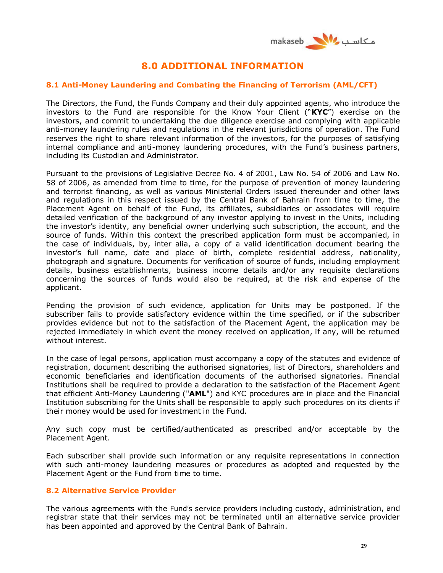

# **8.0 ADDITIONAL INFORMATION**

## **8.1 Anti-Money Laundering and Combating the Financing of Terrorism (AML/CFT)**

The Directors, the Fund, the Funds Company and their duly appointed agents, who introduce the investors to the Fund are responsible for the Know Your Client ("**KYC**") exercise on the investors, and commit to undertaking the due diligence exercise and complying with applicable anti-money laundering rules and regulations in the relevant jurisdictions of operation. The Fund reserves the right to share relevant information of the investors, for the purposes of satisfying internal compliance and anti-money laundering procedures, with the Fund's business partners, including its Custodian and Administrator.

Pursuant to the provisions of Legislative Decree No. 4 of 2001, Law No. 54 of 2006 and Law No. 58 of 2006, as amended from time to time, for the purpose of prevention of money laundering and terrorist financing, as well as various Ministerial Orders issued thereunder and other laws and regulations in this respect issued by the Central Bank of Bahrain from time to time, the Placement Agent on behalf of the Fund, its affiliates, subsidiaries or associates will require detailed verification of the background of any investor applying to invest in the Units, including the investor's identity, any beneficial owner underlying such subscription, the account, and the source of funds. Within this context the prescribed application form must be accompanied, in the case of individuals, by, inter alia, a copy of a valid identification document bearing the investor's full name, date and place of birth, complete residential address, nationality, photograph and signature. Documents for verification of source of funds, including employment details, business establishments, business income details and/or any requisite declarations concerning the sources of funds would also be required, at the risk and expense of the applicant.

Pending the provision of such evidence, application for Units may be postponed. If the subscriber fails to provide satisfactory evidence within the time specified, or if the subscriber provides evidence but not to the satisfaction of the Placement Agent, the application may be rejected immediately in which event the money received on application, if any, will be returned without interest.

In the case of legal persons, application must accompany a copy of the statutes and evidence of registration, document describing the authorised signatories, list of Directors, shareholders and economic beneficiaries and identification documents of the authorised signatories. Financial Institutions shall be required to provide a declaration to the satisfaction of the Placement Agent that efficient Anti-Money Laundering ("**AML**") and KYC procedures are in place and the Financial Institution subscribing for the Units shall be responsible to apply such procedures on its clients if their money would be used for investment in the Fund.

Any such copy must be certified/authenticated as prescribed and/or acceptable by the Placement Agent.

Each subscriber shall provide such information or any requisite representations in connection with such anti-money laundering measures or procedures as adopted and requested by the Placement Agent or the Fund from time to time.

## **8.2 Alternative Service Provider**

The various agreements with the Fund's service providers including custody, administration, and registrar state that their services may not be terminated until an alternative service provider has been appointed and approved by the Central Bank of Bahrain.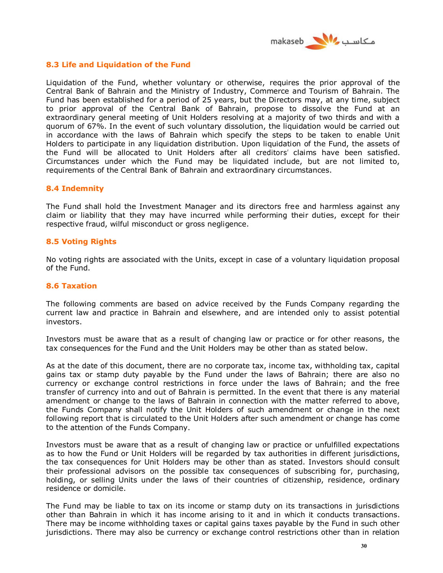

### **8.3 Life and Liquidation of the Fund**

Liquidation of the Fund, whether voluntary or otherwise, requires the prior approval of the Central Bank of Bahrain and the Ministry of Industry, Commerce and Tourism of Bahrain. The Fund has been established for a period of 25 years, but the Directors may, at any time, subject to prior approval of the Central Bank of Bahrain, propose to dissolve the Fund at an extraordinary general meeting of Unit Holders resolving at a majority of two thirds and with a quorum of 67%. In the event of such voluntary dissolution, the liquidation would be carried out in accordance with the laws of Bahrain which specify the steps to be taken to enable Unit Holders to participate in any liquidation distribution. Upon liquidation of the Fund, the assets of the Fund will be allocated to Unit Holders after all creditors' claims have been satisfied. Circumstances under which the Fund may be liquidated include, but are not limited to, requirements of the Central Bank of Bahrain and extraordinary circumstances.

#### **8.4 Indemnity**

The Fund shall hold the Investment Manager and its directors free and harmless against any claim or liability that they may have incurred while performing their duties, except for their respective fraud, wilful misconduct or gross negligence.

#### **8.5 Voting Rights**

No voting rights are associated with the Units, except in case of a voluntary liquidation proposal of the Fund.

#### **8.6 Taxation**

The following comments are based on advice received by the Funds Company regarding the current law and practice in Bahrain and elsewhere, and are intended only to assist potential investors.

Investors must be aware that as a result of changing law or practice or for other reasons, the tax consequences for the Fund and the Unit Holders may be other than as stated below.

As at the date of this document, there are no corporate tax, income tax, withholding tax, capital gains tax or stamp duty payable by the Fund under the laws of Bahrain; there are also no currency or exchange control restrictions in force under the laws of Bahrain; and the free transfer of currency into and out of Bahrain is permitted. In the event that there is any material amendment or change to the laws of Bahrain in connection with the matter referred to above, the Funds Company shall notify the Unit Holders of such amendment or change in the next following report that is circulated to the Unit Holders after such amendment or change has come to the attention of the Funds Company.

Investors must be aware that as a result of changing law or practice or unfulfilled expectations as to how the Fund or Unit Holders will be regarded by tax authorities in different jurisdictions, the tax consequences for Unit Holders may be other than as stated. Investors should consult their professional advisors on the possible tax consequences of subscribing for, purchasing, holding, or selling Units under the laws of their countries of citizenship, residence, ordinary residence or domicile.

The Fund may be liable to tax on its income or stamp duty on its transactions in jurisdictions other than Bahrain in which it has income arising to it and in which it conducts transactions. There may be income withholding taxes or capital gains taxes payable by the Fund in such other jurisdictions. There may also be currency or exchange control restrictions other than in relation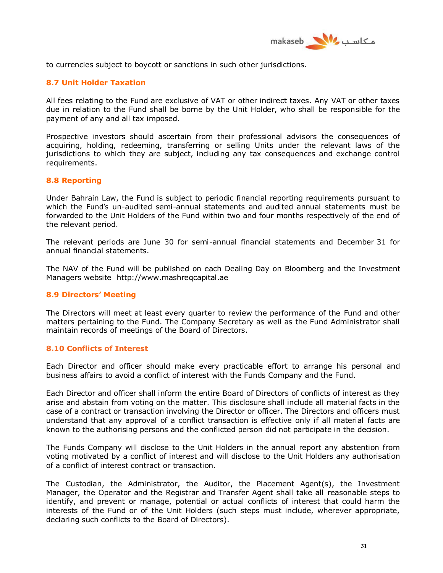

to currencies subject to boycott or sanctions in such other jurisdictions.

## **8.7 Unit Holder Taxation**

All fees relating to the Fund are exclusive of VAT or other indirect taxes. Any VAT or other taxes due in relation to the Fund shall be borne by the Unit Holder, who shall be responsible for the payment of any and all tax imposed.

Prospective investors should ascertain from their professional advisors the consequences of acquiring, holding, redeeming, transferring or selling Units under the relevant laws of the jurisdictions to which they are subject, including any tax consequences and exchange control requirements.

### **8.8 Reporting**

Under Bahrain Law, the Fund is subject to periodic financial reporting requirements pursuant to which the Fund's un-audited semi-annual statements and audited annual statements must be forwarded to the Unit Holders of the Fund within two and four months respectively of the end of the relevant period.

The relevant periods are June 30 for semi-annual financial statements and December 31 for annual financial statements.

The NAV of the Fund will be published on each Dealing Day on Bloomberg and the Investment Managers website http://www.mashreqcapital.ae

### **8.9 Directors' Meeting**

The Directors will meet at least every quarter to review the performance of the Fund and other matters pertaining to the Fund. The Company Secretary as well as the Fund Administrator shall maintain records of meetings of the Board of Directors.

### **8.10 Conflicts of Interest**

Each Director and officer should make every practicable effort to arrange his personal and business affairs to avoid a conflict of interest with the Funds Company and the Fund.

Each Director and officer shall inform the entire Board of Directors of conflicts of interest as they arise and abstain from voting on the matter. This disclosure shall include all material facts in the case of a contract or transaction involving the Director or officer. The Directors and officers must understand that any approval of a conflict transaction is effective only if all material facts are known to the authorising persons and the conflicted person did not participate in the decision.

The Funds Company will disclose to the Unit Holders in the annual report any abstention from voting motivated by a conflict of interest and will disclose to the Unit Holders any authorisation of a conflict of interest contract or transaction.

The Custodian, the Administrator, the Auditor, the Placement Agent(s), the Investment Manager, the Operator and the Registrar and Transfer Agent shall take all reasonable steps to identify, and prevent or manage, potential or actual conflicts of interest that could harm the interests of the Fund or of the Unit Holders (such steps must include, wherever appropriate, declaring such conflicts to the Board of Directors).